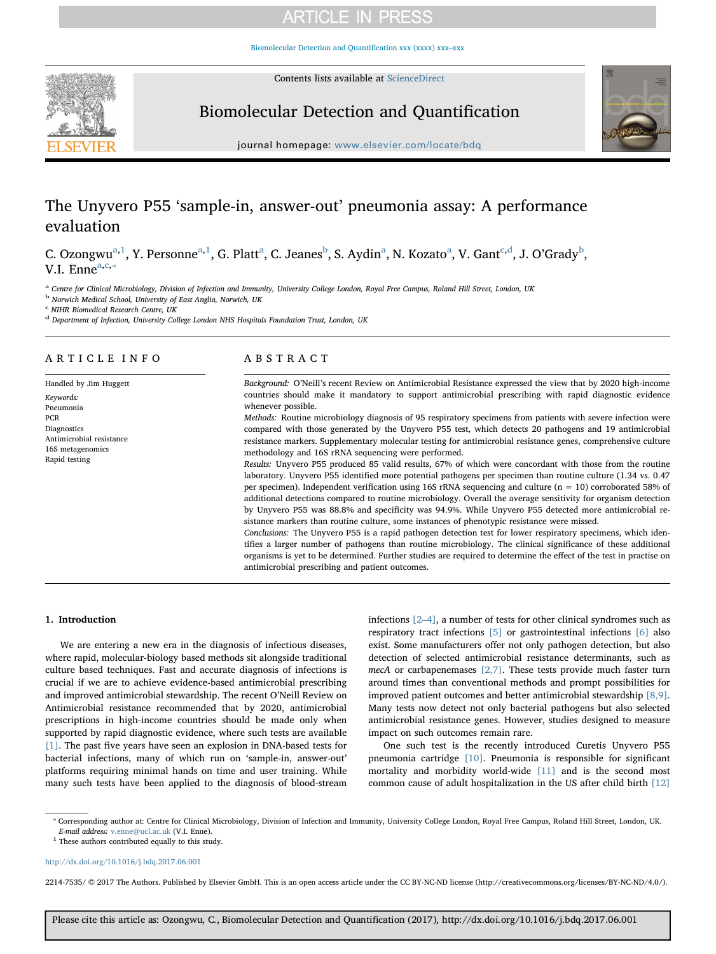# **ARTICLE IN PRESS**

[Biomolecular Detection and Quantification xxx \(xxxx\) xxx–xxx](http://dx.doi.org/10.1016/j.bdq.2017.06.001)

Contents lists available at [ScienceDirect](http://www.sciencedirect.com/science/journal/22147535)



# Biomolecular Detection and Quantification



journal homepage: [www.elsevier.com/locate/bdq](http://www.elsevier.com/locate/bdq)

# The Unyvero P55 'sample-in, answer-out' pneumonia assay: A performance evaluation

C. Ozongwu $^{a,1}$  $^{a,1}$  $^{a,1}$  $^{a,1}$ , Y. Personne $^{a,1}$  $^{a,1}$  $^{a,1}$  $^{a,1}$ , G. Platt $^a$ , C. Jeanes $^b$  $^b$ , S. Aydin $^a$ , N. Kozato $^a$ , V. Gant $^{c,d}$  $^{c,d}$  $^{c,d}$  $^{c,d}$ , J. O'Grady $^b$ , V.I. Enne $a, c, \ast$  $a, c, \ast$  $a, c, \ast$  $a, c, \ast$ 

<span id="page-0-0"></span><sup>a</sup> Centre for Clinical Microbiology, Division of Infection and Immunity, University College London, Royal Free Campus, Roland Hill Street, London, UK

<span id="page-0-2"></span><sup>b</sup> Norwich Medical School, University of East Anglia, Norwich, UK

<span id="page-0-3"></span><sup>c</sup> NIHR Biomedical Research Centre, UK

<span id="page-0-4"></span><sup>d</sup> Department of Infection, University College London NHS Hospitals Foundation Trust, London, UK

# ARTICLE INFO

Handled by Jim Huggett Keywords: Pneumonia PCR Diagnostics Antimicrobial resistance 16S metagenomics Rapid testing

# ABSTRACT

Background: O'Neill's recent Review on Antimicrobial Resistance expressed the view that by 2020 high-income countries should make it mandatory to support antimicrobial prescribing with rapid diagnostic evidence whenever possible.

Methods: Routine microbiology diagnosis of 95 respiratory specimens from patients with severe infection were compared with those generated by the Unyvero P55 test, which detects 20 pathogens and 19 antimicrobial resistance markers. Supplementary molecular testing for antimicrobial resistance genes, comprehensive culture methodology and 16S rRNA sequencing were performed.

Results: Unyvero P55 produced 85 valid results, 67% of which were concordant with those from the routine laboratory. Unyvero P55 identified more potential pathogens per specimen than routine culture (1.34 vs. 0.47 per specimen). Independent verification using 16S rRNA sequencing and culture (n = 10) corroborated 58% of additional detections compared to routine microbiology. Overall the average sensitivity for organism detection by Unyvero P55 was 88.8% and specificity was 94.9%. While Unyvero P55 detected more antimicrobial resistance markers than routine culture, some instances of phenotypic resistance were missed.

Conclusions: The Unyvero P55 is a rapid pathogen detection test for lower respiratory specimens, which identifies a larger number of pathogens than routine microbiology. The clinical significance of these additional organisms is yet to be determined. Further studies are required to determine the effect of the test in practise on antimicrobial prescribing and patient outcomes.

# 1. Introduction

We are entering a new era in the diagnosis of infectious diseases, where rapid, molecular-biology based methods sit alongside traditional culture based techniques. Fast and accurate diagnosis of infections is crucial if we are to achieve evidence-based antimicrobial prescribing and improved antimicrobial stewardship. The recent O'Neill Review on Antimicrobial resistance recommended that by 2020, antimicrobial prescriptions in high-income countries should be made only when supported by rapid diagnostic evidence, where such tests are available [\[1\].](#page-5-0) The past five years have seen an explosion in DNA-based tests for bacterial infections, many of which run on 'sample-in, answer-out' platforms requiring minimal hands on time and user training. While many such tests have been applied to the diagnosis of blood-stream

infections [2–[4\],](#page-5-1) a number of tests for other clinical syndromes such as respiratory tract infections [\[5\]](#page-5-2) or gastrointestinal infections [\[6\]](#page-5-3) also exist. Some manufacturers offer not only pathogen detection, but also detection of selected antimicrobial resistance determinants, such as mecA or carbapenemases [\[2,7\].](#page-5-1) These tests provide much faster turn around times than conventional methods and prompt possibilities for improved patient outcomes and better antimicrobial stewardship [\[8,9\]](#page-5-4). Many tests now detect not only bacterial pathogens but also selected antimicrobial resistance genes. However, studies designed to measure impact on such outcomes remain rare.

One such test is the recently introduced Curetis Unyvero P55 pneumonia cartridge [\[10\]](#page-5-5). Pneumonia is responsible for significant mortality and morbidity world-wide [\[11\]](#page-5-6) and is the second most common cause of adult hospitalization in the US after child birth [\[12\]](#page-5-7)

<span id="page-0-5"></span>⁎ Corresponding author at: Centre for Clinical Microbiology, Division of Infection and Immunity, University College London, Royal Free Campus, Roland Hill Street, London, UK. E-mail address: [v.enne@ucl.ac.uk](mailto:v.enne@ucl.ac.uk) (V.I. Enne).

<span id="page-0-1"></span> $^{\rm 1}$  These authors contributed equally to this study.

<http://dx.doi.org/10.1016/j.bdq.2017.06.001>

2214-7535/ © 2017 The Authors. Published by Elsevier GmbH. This is an open access article under the CC BY-NC-ND license (http://creativecommons.org/licenses/BY-NC-ND/4.0/).

Please cite this article as: Ozongwu, C., Biomolecular Detection and Quantification (2017), http://dx.doi.org/10.1016/j.bdq.2017.06.001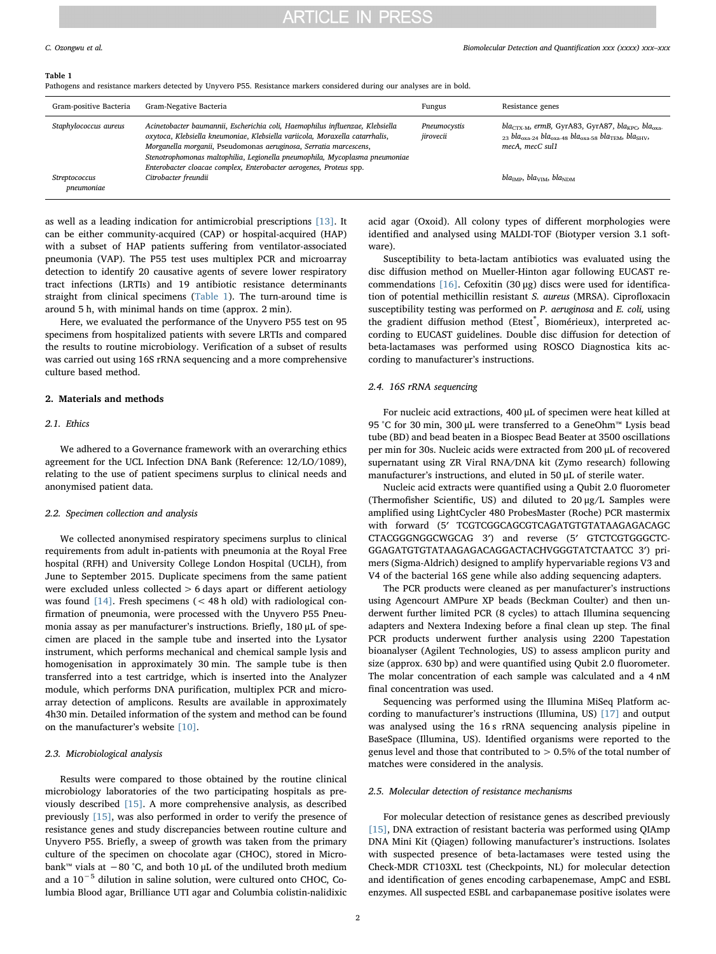# **ARTICLE IN PRESS**

### <span id="page-1-0"></span>Table 1

Pathogens and resistance markers detected by Unyvero P55. Resistance markers considered during our analyses are in bold.

| Gram-positive Bacteria | Gram-Negative Bacteria                                                                                                                                                                                                                                                                                                                                                                  | Fungus                    | Resistance genes                                                                                                                                                                                                                 |
|------------------------|-----------------------------------------------------------------------------------------------------------------------------------------------------------------------------------------------------------------------------------------------------------------------------------------------------------------------------------------------------------------------------------------|---------------------------|----------------------------------------------------------------------------------------------------------------------------------------------------------------------------------------------------------------------------------|
| Staphylococcus aureus  | Acinetobacter baumannii, Escherichia coli, Haemophilus influenzae, Klebsiella<br>oxytoca, Klebsiella kneumoniae, Klebsiella variicola, Moraxella catarrhalis,<br>Morganella morganii, Pseudomonas aeruginosa, Serratia marcescens,<br>Stenotrophomonas maltophilia, Legionella pneumophila, Mycoplasma pneumoniae<br>Enterobacter cloacae complex, Enterobacter aerogenes, Proteus spp. | Pneumocystis<br>jirovecii | $bla_{\text{CTX-M}}$ , ermB, GyrA83, GyrA87, bla <sub>KPC</sub> , bla <sub>oxa</sub> .<br>$_{23}$ bla <sub>oxa-24</sub> bla <sub>oxa-48</sub> bla <sub>oxa-58</sub> bla <sub>TEM</sub> , bla <sub>SHV</sub> ,<br>mecA, mecC sul1 |
| Streptococcus          | Citrobacter freundii                                                                                                                                                                                                                                                                                                                                                                    |                           | $blaIMP, blaVIM, blaNDM$                                                                                                                                                                                                         |
| pneumoniae             |                                                                                                                                                                                                                                                                                                                                                                                         |                           |                                                                                                                                                                                                                                  |

as well as a leading indication for antimicrobial prescriptions [\[13\]](#page-5-8). It can be either community-acquired (CAP) or hospital-acquired (HAP) with a subset of HAP patients suffering from ventilator-associated pneumonia (VAP). The P55 test uses multiplex PCR and microarray detection to identify 20 causative agents of severe lower respiratory tract infections (LRTIs) and 19 antibiotic resistance determinants straight from clinical specimens [\(Table 1](#page-1-0)). The turn-around time is around 5 h, with minimal hands on time (approx. 2 min).

Here, we evaluated the performance of the Unyvero P55 test on 95 specimens from hospitalized patients with severe LRTIs and compared the results to routine microbiology. Verification of a subset of results was carried out using 16S rRNA sequencing and a more comprehensive culture based method.

# 2. Materials and methods

# 2.1. Ethics

We adhered to a Governance framework with an overarching ethics agreement for the UCL Infection DNA Bank (Reference: 12/LO/1089), relating to the use of patient specimens surplus to clinical needs and anonymised patient data.

### 2.2. Specimen collection and analysis

We collected anonymised respiratory specimens surplus to clinical requirements from adult in-patients with pneumonia at the Royal Free hospital (RFH) and University College London Hospital (UCLH), from June to September 2015. Duplicate specimens from the same patient were excluded unless collected > 6 days apart or different aetiology was found [\[14\].](#page-5-9) Fresh specimens (< 48 h old) with radiological confirmation of pneumonia, were processed with the Unyvero P55 Pneumonia assay as per manufacturer's instructions. Briefly, 180 μL of specimen are placed in the sample tube and inserted into the Lysator instrument, which performs mechanical and chemical sample lysis and homogenisation in approximately 30 min. The sample tube is then transferred into a test cartridge, which is inserted into the Analyzer module, which performs DNA purification, multiplex PCR and microarray detection of amplicons. Results are available in approximately 4h30 min. Detailed information of the system and method can be found on the manufacturer's website [\[10\].](#page-5-5)

## 2.3. Microbiological analysis

Results were compared to those obtained by the routine clinical microbiology laboratories of the two participating hospitals as previously described [\[15\].](#page-5-10) A more comprehensive analysis, as described previously [\[15\],](#page-5-10) was also performed in order to verify the presence of resistance genes and study discrepancies between routine culture and Unyvero P55. Briefly, a sweep of growth was taken from the primary culture of the specimen on chocolate agar (CHOC), stored in Microbank™ vials at  $-80$  °C, and both 10 µL of the undiluted broth medium and a 10−<sup>5</sup> dilution in saline solution, were cultured onto CHOC, Columbia Blood agar, Brilliance UTI agar and Columbia colistin-nalidixic acid agar (Oxoid). All colony types of different morphologies were identified and analysed using MALDI-TOF (Biotyper version 3.1 software).

Susceptibility to beta-lactam antibiotics was evaluated using the disc diffusion method on Mueller-Hinton agar following EUCAST re-commendations [\[16\]](#page-5-11). Cefoxitin (30 μg) discs were used for identification of potential methicillin resistant S. aureus (MRSA). Ciprofloxacin susceptibility testing was performed on P. aeruginosa and E. coli, using the gradient diffusion method (Etest®, Biomérieux), interpreted according to EUCAST guidelines. Double disc diffusion for detection of beta-lactamases was performed using ROSCO Diagnostica kits according to manufacturer's instructions.

## 2.4. 16S rRNA sequencing

For nucleic acid extractions, 400 μL of specimen were heat killed at 95 °C for 30 min, 300 μL were transferred to a GeneOhm™ Lysis bead tube (BD) and bead beaten in a Biospec Bead Beater at 3500 oscillations per min for 30s. Nucleic acids were extracted from 200 μL of recovered supernatant using ZR Viral RNA/DNA kit (Zymo research) following manufacturer's instructions, and eluted in 50 μL of sterile water.

Nucleic acid extracts were quantified using a Qubit 2.0 fluorometer (Thermofisher Scientific, US) and diluted to 20 μg/L Samples were amplified using LightCycler 480 ProbesMaster (Roche) PCR mastermix with forward (5′ TCGTCGGCAGCGTCAGATGTGTATAAGAGACAGC CTACGGGNGGCWGCAG 3′) and reverse (5′ GTCTCGTGGGCTC-GGAGATGTGTATAAGAGACAGGACTACHVGGGTATCTAATCC 3′) primers (Sigma-Aldrich) designed to amplify hypervariable regions V3 and V4 of the bacterial 16S gene while also adding sequencing adapters.

The PCR products were cleaned as per manufacturer's instructions using Agencourt AMPure XP beads (Beckman Coulter) and then underwent further limited PCR (8 cycles) to attach Illumina sequencing adapters and Nextera Indexing before a final clean up step. The final PCR products underwent further analysis using 2200 Tapestation bioanalyser (Agilent Technologies, US) to assess amplicon purity and size (approx. 630 bp) and were quantified using Qubit 2.0 fluorometer. The molar concentration of each sample was calculated and a 4 nM final concentration was used.

Sequencing was performed using the Illumina MiSeq Platform according to manufacturer's instructions (Illumina, US) [\[17\]](#page-5-12) and output was analysed using the 16 s rRNA sequencing analysis pipeline in BaseSpace (Illumina, US). Identified organisms were reported to the genus level and those that contributed to > 0.5% of the total number of matches were considered in the analysis.

# 2.5. Molecular detection of resistance mechanisms

For molecular detection of resistance genes as described previously [\[15\]](#page-5-10), DNA extraction of resistant bacteria was performed using QIAmp DNA Mini Kit (Qiagen) following manufacturer's instructions. Isolates with suspected presence of beta-lactamases were tested using the Check-MDR CT103XL test (Checkpoints, NL) for molecular detection and identification of genes encoding carbapenemase, AmpC and ESBL enzymes. All suspected ESBL and carbapanemase positive isolates were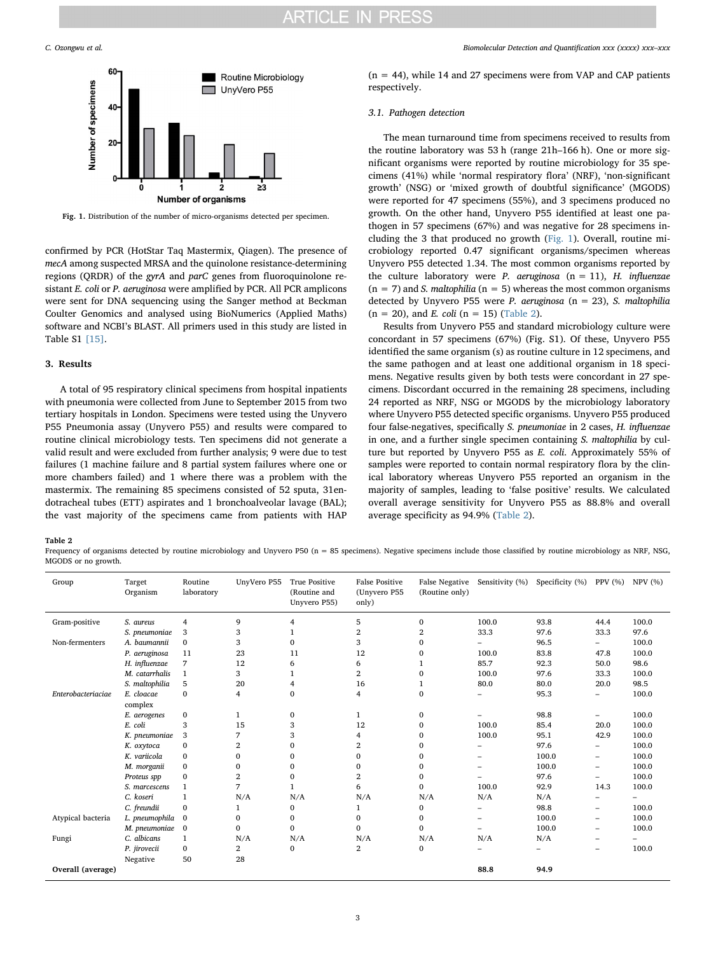<span id="page-2-0"></span>

Fig. 1. Distribution of the number of micro-organisms detected per specimen.

confirmed by PCR (HotStar Taq Mastermix, Qiagen). The presence of mecA among suspected MRSA and the quinolone resistance-determining regions (QRDR) of the gyrA and parC genes from fluoroquinolone resistant E. coli or P. aeruginosa were amplified by PCR. All PCR amplicons were sent for DNA sequencing using the Sanger method at Beckman Coulter Genomics and analysed using BioNumerics (Applied Maths) software and NCBI's BLAST. All primers used in this study are listed in Table S1 [\[15\].](#page-5-10)

# 3. Results

A total of 95 respiratory clinical specimens from hospital inpatients with pneumonia were collected from June to September 2015 from two tertiary hospitals in London. Specimens were tested using the Unyvero P55 Pneumonia assay (Unyvero P55) and results were compared to routine clinical microbiology tests. Ten specimens did not generate a valid result and were excluded from further analysis; 9 were due to test failures (1 machine failure and 8 partial system failures where one or more chambers failed) and 1 where there was a problem with the mastermix. The remaining 85 specimens consisted of 52 sputa, 31endotracheal tubes (ETT) aspirates and 1 bronchoalveolar lavage (BAL); the vast majority of the specimens came from patients with HAP

 $(n = 44)$ , while 14 and 27 specimens were from VAP and CAP patients respectively.

# 3.1. Pathogen detection

The mean turnaround time from specimens received to results from the routine laboratory was 53 h (range 21h–166 h). One or more significant organisms were reported by routine microbiology for 35 specimens (41%) while 'normal respiratory flora' (NRF), 'non-significant growth' (NSG) or 'mixed growth of doubtful significance' (MGODS) were reported for 47 specimens (55%), and 3 specimens produced no growth. On the other hand, Unyvero P55 identified at least one pathogen in 57 specimens (67%) and was negative for 28 specimens including the 3 that produced no growth [\(Fig. 1](#page-2-0)). Overall, routine microbiology reported 0.47 significant organisms/specimen whereas Unyvero P55 detected 1.34. The most common organisms reported by the culture laboratory were P. aeruginosa  $(n = 11)$ , H. influenzae  $(n = 7)$  and *S. maltophilia*  $(n = 5)$  whereas the most common organisms detected by Unyvero P55 were P. aeruginosa ( $n = 23$ ), S. maltophilia  $(n = 20)$ , and *E. coli*  $(n = 15)$  [\(Table 2](#page-2-1)).

Results from Unyvero P55 and standard microbiology culture were concordant in 57 specimens (67%) (Fig. S1). Of these, Unyvero P55 identified the same organism (s) as routine culture in 12 specimens, and the same pathogen and at least one additional organism in 18 specimens. Negative results given by both tests were concordant in 27 specimens. Discordant occurred in the remaining 28 specimens, including 24 reported as NRF, NSG or MGODS by the microbiology laboratory where Unyvero P55 detected specific organisms. Unyvero P55 produced four false-negatives, specifically S. pneumoniae in 2 cases, H. influenzae in one, and a further single specimen containing S. maltophilia by culture but reported by Unyvero P55 as E. coli. Approximately 55% of samples were reported to contain normal respiratory flora by the clinical laboratory whereas Unyvero P55 reported an organism in the majority of samples, leading to 'false positive' results. We calculated overall average sensitivity for Unyvero P55 as 88.8% and overall average specificity as 94.9% [\(Table 2\)](#page-2-1).

<span id="page-2-1"></span>Table 2

Frequency of organisms detected by routine microbiology and Unyvero P50 (n = 85 specimens). Negative specimens include those classified by routine microbiology as NRF, NSG, MGODS or no growth.

| Group              | Target<br>Organism | Routine<br>laboratory | UnyVero P55  | <b>True Positive</b><br>(Routine and<br>Unyvero P55) | <b>False Positive</b><br>(Unyvero P55<br>only) | <b>False Negative</b><br>(Routine only) | Sensitivity (%) | Specificity (%)          | PPV (%)                  | NPV (%)                  |
|--------------------|--------------------|-----------------------|--------------|------------------------------------------------------|------------------------------------------------|-----------------------------------------|-----------------|--------------------------|--------------------------|--------------------------|
| Gram-positive      | S. aureus          | 4                     | 9            | 4                                                    | 5                                              | $\mathbf{0}$                            | 100.0           | 93.8                     | 44.4                     | 100.0                    |
|                    | S. pneumoniae      | 3                     | 3            |                                                      | 2                                              | $\overline{2}$                          | 33.3            | 97.6                     | 33.3                     | 97.6                     |
| Non-fermenters     | A. baumannii       | $\mathbf{0}$          | 3            | $\Omega$                                             | 3                                              | $\mathbf{0}$                            | -               | 96.5                     | $\overline{\phantom{0}}$ | 100.0                    |
|                    | P. aeruginosa      | 11                    | 23           | 11                                                   | 12                                             | 0                                       | 100.0           | 83.8                     | 47.8                     | 100.0                    |
|                    | H. influenzae      | 7                     | 12           | 6                                                    | 6                                              | 1                                       | 85.7            | 92.3                     | 50.0                     | 98.6                     |
|                    | M. catarrhalis     | $\mathbf{1}$          | 3            |                                                      | 2                                              | $\mathbf{0}$                            | 100.0           | 97.6                     | 33.3                     | 100.0                    |
|                    | S. maltophilia     | 5                     | 20           | 4                                                    | 16                                             | 1                                       | 80.0            | 80.0                     | 20.0                     | 98.5                     |
| Enterobacteriaciae | E. cloacae         | $\mathbf{0}$          | 4            | 0                                                    | 4                                              | $\bf{0}$                                | -               | 95.3                     | -                        | 100.0                    |
|                    | complex            |                       |              |                                                      |                                                |                                         |                 |                          |                          |                          |
|                    | E. aerogenes       | $\bf{0}$              | 1            | 0                                                    | 1                                              | 0                                       |                 | 98.8                     | -                        | 100.0                    |
|                    | E. coli            | 3                     | 15           | 3                                                    | 12                                             | $\bf{0}$                                | 100.0           | 85.4                     | 20.0                     | 100.0                    |
|                    | K. pneumoniae      | 3                     | 7            | 3                                                    | 4                                              | $\bf{0}$                                | 100.0           | 95.1                     | 42.9                     | 100.0                    |
|                    | K. oxytoca         | $\mathbf{0}$          | 2            | $\mathbf 0$                                          | 2                                              | $\mathbf{0}$                            |                 | 97.6                     | $\overline{\phantom{0}}$ | 100.0                    |
|                    | K. variicola       | $\bf{0}$              | 0            | 0                                                    | 0                                              | $\bf{0}$                                | ۰               | 100.0                    | $\overline{\phantom{0}}$ | 100.0                    |
|                    | M. morganii        | $\mathbf{0}$          | $\mathbf{0}$ | 0                                                    | 0                                              | $\mathbf{0}$                            |                 | 100.0                    | $\overline{\phantom{0}}$ | 100.0                    |
|                    | Proteus spp        | $\bf{0}$              | 2            | 0                                                    | 2                                              | $\bf{0}$                                | ۰               | 97.6                     | $\overline{\phantom{0}}$ | 100.0                    |
|                    | S. marcescens      | $\mathbf{1}$          | 7            |                                                      | 6                                              | $\mathbf{0}$                            | 100.0           | 92.9                     | 14.3                     | 100.0                    |
|                    | C. koseri          | $\mathbf{1}$          | N/A          | N/A                                                  | N/A                                            | N/A                                     | N/A             | N/A                      | $\overline{\phantom{0}}$ | $\overline{\phantom{0}}$ |
|                    | C. freundii        | $\bf{0}$              | 1            | 0                                                    | 1                                              | $\mathbf{0}$                            | ۰               | 98.8                     | $\qquad \qquad$          | 100.0                    |
| Atypical bacteria  | L. pneumophila     | $\bf{0}$              | $\mathbf{0}$ | 0                                                    | $\mathbf{0}$                                   | $\bf{0}$                                | ۰               | 100.0                    | $\overline{\phantom{0}}$ | 100.0                    |
|                    | M. pneumoniae      | $\bf{0}$              | $\mathbf{0}$ | 0                                                    | 0                                              | $\mathbf{0}$                            | ÷               | 100.0                    | $\qquad \qquad$          | 100.0                    |
| Fungi              | C. albicans        | $\mathbf{1}$          | N/A          | N/A                                                  | N/A                                            | N/A                                     | N/A             | N/A                      | $\overline{\phantom{0}}$ |                          |
|                    | P. jirovecii       | 0                     | 2            | $\mathbf 0$                                          | $\overline{2}$                                 | $\mathbf{0}$                            |                 | $\overline{\phantom{0}}$ | $\overline{\phantom{0}}$ | 100.0                    |
|                    | Negative           | 50                    | 28           |                                                      |                                                |                                         |                 |                          |                          |                          |
| Overall (average)  |                    |                       |              |                                                      |                                                |                                         | 88.8            | 94.9                     |                          |                          |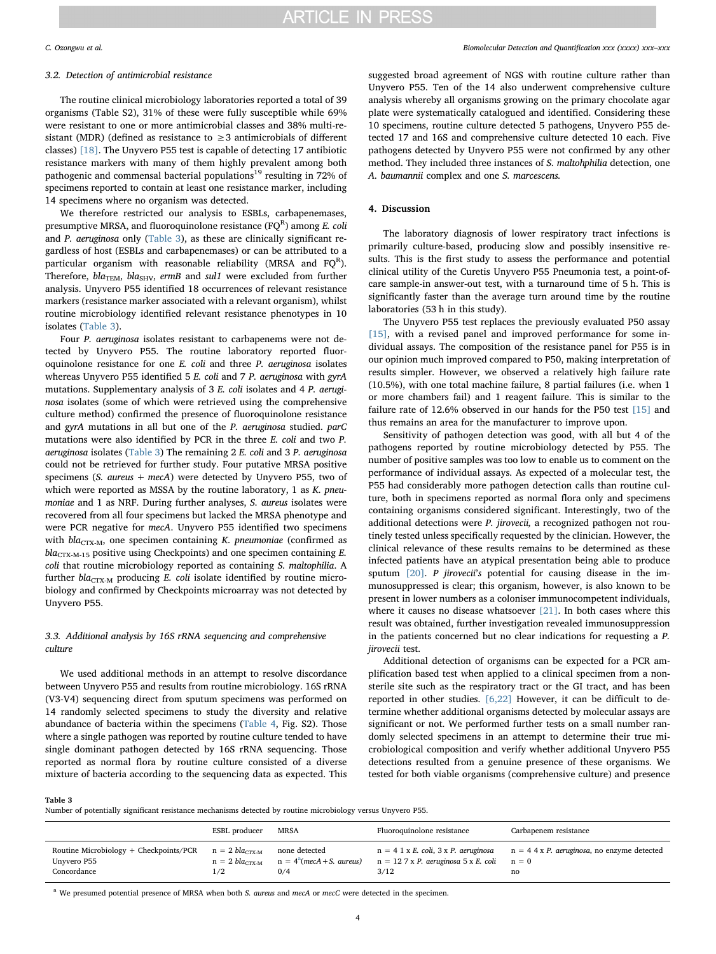# 3.2. Detection of antimicrobial resistance

The routine clinical microbiology laboratories reported a total of 39 organisms (Table S2), 31% of these were fully susceptible while 69% were resistant to one or more antimicrobial classes and 38% multi-resistant (MDR) (defined as resistance to  $\geq$  3 antimicrobials of different classes) [\[18\].](#page-5-13) The Unyvero P55 test is capable of detecting 17 antibiotic resistance markers with many of them highly prevalent among both pathogenic and commensal bacterial populations<sup>19</sup> resulting in 72% of specimens reported to contain at least one resistance marker, including 14 specimens where no organism was detected.

We therefore restricted our analysis to ESBLs, carbapenemases, presumptive MRSA, and fluoroquinolone resistance (FQ $^{\text{R}}$ ) among *E. coli* and P. aeruginosa only ([Table 3\)](#page-3-0), as these are clinically significant regardless of host (ESBLs and carbapenemases) or can be attributed to a particular organism with reasonable reliability (MRSA and FQ<sup>R</sup>). Therefore,  $bla_{\text{TEM}}$ ,  $bla_{\text{SHV}}$ , ermB and sul1 were excluded from further analysis. Unyvero P55 identified 18 occurrences of relevant resistance markers (resistance marker associated with a relevant organism), whilst routine microbiology identified relevant resistance phenotypes in 10 isolates [\(Table 3](#page-3-0)).

Four P. aeruginosa isolates resistant to carbapenems were not detected by Unyvero P55. The routine laboratory reported fluoroquinolone resistance for one E. coli and three P. aeruginosa isolates whereas Unyvero P55 identified 5 E. coli and 7 P. aeruginosa with gyrA mutations. Supplementary analysis of 3 E. coli isolates and 4 P. aeruginosa isolates (some of which were retrieved using the comprehensive culture method) confirmed the presence of fluoroquinolone resistance and gyrA mutations in all but one of the P. aeruginosa studied. parC mutations were also identified by PCR in the three E. coli and two P. aeruginosa isolates [\(Table 3](#page-3-0)) The remaining 2 E. coli and 3 P. aeruginosa could not be retrieved for further study. Four putative MRSA positive specimens (S. aureus + mecA) were detected by Unyvero P55, two of which were reported as MSSA by the routine laboratory, 1 as K. pneumoniae and 1 as NRF. During further analyses, S. aureus isolates were recovered from all four specimens but lacked the MRSA phenotype and were PCR negative for mecA. Unyvero P55 identified two specimens with  $bla_{CTX-M}$ , one specimen containing K. pneumoniae (confirmed as  $bla_{CTX-M-15}$  positive using Checkpoints) and one specimen containing E. coli that routine microbiology reported as containing S. maltophilia. A further  $bla_{\text{CTX-M}}$  producing E. coli isolate identified by routine microbiology and confirmed by Checkpoints microarray was not detected by Unyvero P55.

# 3.3. Additional analysis by 16S rRNA sequencing and comprehensive culture

We used additional methods in an attempt to resolve discordance between Unyvero P55 and results from routine microbiology. 16S rRNA (V3-V4) sequencing direct from sputum specimens was performed on 14 randomly selected specimens to study the diversity and relative abundance of bacteria within the specimens ([Table 4,](#page-4-0) Fig. S2). Those where a single pathogen was reported by routine culture tended to have single dominant pathogen detected by 16S rRNA sequencing. Those reported as normal flora by routine culture consisted of a diverse mixture of bacteria according to the sequencing data as expected. This

suggested broad agreement of NGS with routine culture rather than Unyvero P55. Ten of the 14 also underwent comprehensive culture analysis whereby all organisms growing on the primary chocolate agar plate were systematically catalogued and identified. Considering these 10 specimens, routine culture detected 5 pathogens, Unyvero P55 detected 17 and 16S and comprehensive culture detected 10 each. Five pathogens detected by Unyvero P55 were not confirmed by any other method. They included three instances of S. maltohphilia detection, one A. baumannii complex and one S. marcescens.

# 4. Discussion

The laboratory diagnosis of lower respiratory tract infections is primarily culture-based, producing slow and possibly insensitive results. This is the first study to assess the performance and potential clinical utility of the Curetis Unyvero P55 Pneumonia test, a point-ofcare sample-in answer-out test, with a turnaround time of 5 h. This is significantly faster than the average turn around time by the routine laboratories (53 h in this study).

The Unyvero P55 test replaces the previously evaluated P50 assay [\[15\]](#page-5-10), with a revised panel and improved performance for some individual assays. The composition of the resistance panel for P55 is in our opinion much improved compared to P50, making interpretation of results simpler. However, we observed a relatively high failure rate (10.5%), with one total machine failure, 8 partial failures (i.e. when 1 or more chambers fail) and 1 reagent failure. This is similar to the failure rate of 12.6% observed in our hands for the P50 test [\[15\]](#page-5-10) and thus remains an area for the manufacturer to improve upon.

Sensitivity of pathogen detection was good, with all but 4 of the pathogens reported by routine microbiology detected by P55. The number of positive samples was too low to enable us to comment on the performance of individual assays. As expected of a molecular test, the P55 had considerably more pathogen detection calls than routine culture, both in specimens reported as normal flora only and specimens containing organisms considered significant. Interestingly, two of the additional detections were P. jirovecii, a recognized pathogen not routinely tested unless specifically requested by the clinician. However, the clinical relevance of these results remains to be determined as these infected patients have an atypical presentation being able to produce sputum [\[20\]](#page-5-14). P jirovecii's potential for causing disease in the immunosuppressed is clear; this organism, however, is also known to be present in lower numbers as a coloniser immunocompetent individuals, where it causes no disease whatsoever [\[21\]](#page-5-15). In both cases where this result was obtained, further investigation revealed immunosuppression in the patients concerned but no clear indications for requesting a P. jirovecii test.

Additional detection of organisms can be expected for a PCR amplification based test when applied to a clinical specimen from a nonsterile site such as the respiratory tract or the GI tract, and has been reported in other studies. [\[6,22\]](#page-5-3) However, it can be difficult to determine whether additional organisms detected by molecular assays are significant or not. We performed further tests on a small number randomly selected specimens in an attempt to determine their true microbiological composition and verify whether additional Unyvero P55 detections resulted from a genuine presence of these organisms. We tested for both viable organisms (comprehensive culture) and presence

<span id="page-3-0"></span>Table 3

Number of potentially significant resistance mechanisms detected by routine microbiology versus Unyvero P55.

|                                                                                                   | ESBL producer                       | MRSA                                                 | Fluoroquinolone resistance                            | Carbapenem resistance                                                                      |
|---------------------------------------------------------------------------------------------------|-------------------------------------|------------------------------------------------------|-------------------------------------------------------|--------------------------------------------------------------------------------------------|
| Routine Microbiology + Checkpoints/PCR $n = 2$ bla <sub>CTX-M</sub><br>Unyvero P55<br>Concordance | $n = 2$ bla <sub>CTX-M</sub><br>1/2 | none detected<br>$n = 4^a$ (mecA + S. aureus)<br>0/4 | $n = 127$ x P. aeruginosa 5 x E. coli $n = 0$<br>3/12 | $n = 4$ 1 x E. coli, 3 x P. aeruginosa $n = 4$ 4 x P. aeruginosa, no enzyme detected<br>no |

<span id="page-3-1"></span><sup>a</sup> We presumed potential presence of MRSA when both S. aureus and mecA or mecC were detected in the specimen.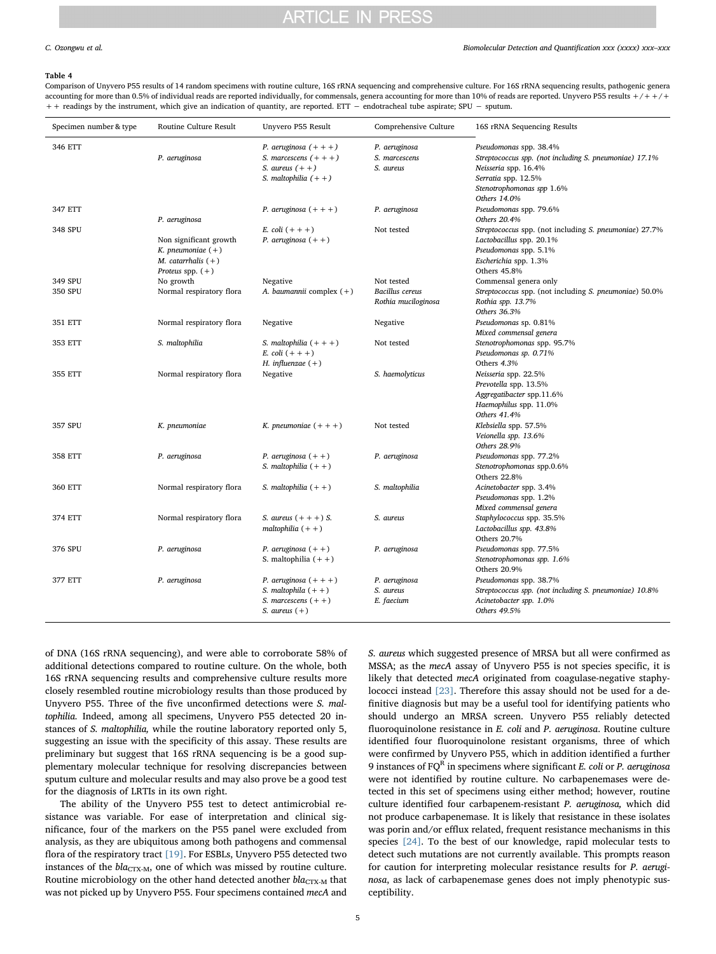# **ARTICLE IN PRESS**

### C. Ozongwu et al. *Biomolecular Detection and Quantification xxx (xxxx) xxx–xxx*

### <span id="page-4-0"></span>Table 4

Comparison of Unyvero P55 results of 14 random specimens with routine culture, 16S rRNA sequencing and comprehensive culture. For 16S rRNA sequencing results, pathogenic genera accounting for more than 0.5% of individual reads are reported individually, for commensals, genera accounting for more than 10% of reads are reported. Unyvero P55 results  $+/++/+$ + + readings by the instrument, which give an indication of quantity, are reported. ETT - endotracheal tube aspirate; SPU - sputum.

| Specimen number & type | Routine Culture Result                                                                      | Unyvero P55 Result                                                                                | Comprehensive Culture                         | 16S rRNA Sequencing Results                                                                                                                                                  |
|------------------------|---------------------------------------------------------------------------------------------|---------------------------------------------------------------------------------------------------|-----------------------------------------------|------------------------------------------------------------------------------------------------------------------------------------------------------------------------------|
| 346 ETT                | P. aeruginosa                                                                               | P. aeruginosa $(+ + +)$<br>S. marcescens $(+++)$<br>S. aureus $(++)$<br>S. maltophilia $(++)$     | P. aeruginosa<br>S. marcescens<br>S. aureus   | Pseudomonas spp. 38.4%<br>Streptococcus spp. (not including S. pneumoniae) 17.1%<br>Neisseria spp. 16.4%<br>Serratia spp. 12.5%<br>Stenotrophomonas spp 1.6%<br>Others 14.0% |
| 347 ETT                | P. aeruginosa                                                                               | P. aeruginosa $(+ + +)$                                                                           | P. aeruginosa                                 | Pseudomonas spp. 79.6%<br>Others 20.4%                                                                                                                                       |
| 348 SPU                | Non significant growth<br>K. pneumoniae $(+)$<br>M. catarrhalis $(+)$<br>Proteus spp. $(+)$ | E. coli $(+ + +)$<br>P. aeruginosa $(++)$                                                         | Not tested                                    | Streptococcus spp. (not including S. pneumoniae) 27.7%<br>Lactobacillus spp. 20.1%<br>Pseudomonas spp. 5.1%<br>Escherichia spp. 1.3%<br>Others 45.8%                         |
| 349 SPU                | No growth                                                                                   | Negative                                                                                          | Not tested                                    | Commensal genera only                                                                                                                                                        |
| 350 SPU                | Normal respiratory flora                                                                    | A. baumannii complex (+)                                                                          | <b>Bacillus</b> cereus<br>Rothia muciloginosa | Streptococcus spp. (not including S. pneumoniae) 50.0%<br>Rothia spp. 13.7%<br>Others 36.3%                                                                                  |
| 351 ETT                | Normal respiratory flora                                                                    | Negative                                                                                          | Negative                                      | Pseudomonas sp. 0.81%<br>Mixed commensal genera                                                                                                                              |
| 353 ETT                | S. maltophilia                                                                              | S. maltophilia $(+ + +)$<br>E. coli $(+ + +)$<br>H. influenzae $(+)$                              | Not tested                                    | Stenotrophomonas spp. 95.7%<br>Pseudomonas sp. 0.71%<br>Others 4.3%                                                                                                          |
| 355 ETT                | Normal respiratory flora                                                                    | Negative                                                                                          | S. haemolyticus                               | Neisseria spp. 22.5%<br>Prevotella spp. 13.5%<br>Aggregatibacter spp.11.6%<br>Haemophilus spp. 11.0%<br>Others 41.4%                                                         |
| 357 SPU                | K. pneumoniae                                                                               | K. pneumoniae $(+ + +)$                                                                           | Not tested                                    | Klebsiella spp. 57.5%<br>Veionella spp. 13.6%<br>Others 28.9%                                                                                                                |
| 358 ETT                | P. aeruginosa                                                                               | P. aeruginosa $(++)$<br>S. maltophilia $(++)$                                                     | P. aeruginosa                                 | Pseudomonas spp. 77.2%<br>Stenotrophomonas spp.0.6%<br>Others 22.8%                                                                                                          |
| 360 ETT                | Normal respiratory flora                                                                    | S. maltophilia $(++)$                                                                             | S. maltophilia                                | Acinetobacter spp. 3.4%<br>Pseudomonas spp. 1.2%<br>Mixed commensal genera                                                                                                   |
| 374 ETT                | Normal respiratory flora                                                                    | S. aureus $(+ + +)$ S.<br>maltophilia $(++)$                                                      | S. aureus                                     | Staphylococcus spp. 35.5%<br>Lactobacillus spp. 43.8%<br>Others 20.7%                                                                                                        |
| 376 SPU                | P. aeruginosa                                                                               | P. aeruginosa $(++)$<br>S. maltophilia $(++)$                                                     | P. aeruginosa                                 | Pseudomonas spp. 77.5%<br>Stenotrophomonas spp. 1.6%<br>Others 20.9%                                                                                                         |
| 377 ETT                | P. aeruginosa                                                                               | P. aeruginosa $(+ + +)$<br>S. maltophila $(++)$<br>S. marcescens $(++)$<br><i>S.</i> aureus $(+)$ | P. aeruginosa<br>S. aureus<br>E. faecium      | Pseudomonas spp. 38.7%<br>Streptococcus spp. (not including S. pneumoniae) 10.8%<br>Acinetobacter spp. 1.0%<br>Others 49.5%                                                  |

of DNA (16S rRNA sequencing), and were able to corroborate 58% of additional detections compared to routine culture. On the whole, both 16S rRNA sequencing results and comprehensive culture results more closely resembled routine microbiology results than those produced by Unyvero P55. Three of the five unconfirmed detections were S. maltophilia. Indeed, among all specimens, Unyvero P55 detected 20 instances of S. maltophilia, while the routine laboratory reported only 5, suggesting an issue with the specificity of this assay. These results are preliminary but suggest that 16S rRNA sequencing is be a good supplementary molecular technique for resolving discrepancies between sputum culture and molecular results and may also prove be a good test for the diagnosis of LRTIs in its own right.

The ability of the Unyvero P55 test to detect antimicrobial resistance was variable. For ease of interpretation and clinical significance, four of the markers on the P55 panel were excluded from analysis, as they are ubiquitous among both pathogens and commensal flora of the respiratory tract [\[19\].](#page-5-16) For ESBLs, Unyvero P55 detected two instances of the  $bla_{CTX-M}$ , one of which was missed by routine culture. Routine microbiology on the other hand detected another  $bla_{CTX-M}$  that was not picked up by Unyvero P55. Four specimens contained mecA and

S. aureus which suggested presence of MRSA but all were confirmed as MSSA; as the mecA assay of Unyvero P55 is not species specific, it is likely that detected mecA originated from coagulase-negative staphylococci instead [\[23\].](#page-5-17) Therefore this assay should not be used for a definitive diagnosis but may be a useful tool for identifying patients who should undergo an MRSA screen. Unyvero P55 reliably detected fluoroquinolone resistance in E. coli and P. aeruginosa. Routine culture identified four fluoroquinolone resistant organisms, three of which were confirmed by Unyvero P55, which in addition identified a further 9 instances of  $FQ<sup>R</sup>$  in specimens where significant E. coli or P. aeruginosa were not identified by routine culture. No carbapenemases were detected in this set of specimens using either method; however, routine culture identified four carbapenem-resistant P. aeruginosa, which did not produce carbapenemase. It is likely that resistance in these isolates was porin and/or efflux related, frequent resistance mechanisms in this species [\[24\].](#page-5-18) To the best of our knowledge, rapid molecular tests to detect such mutations are not currently available. This prompts reason for caution for interpreting molecular resistance results for P. aeruginosa, as lack of carbapenemase genes does not imply phenotypic susceptibility.